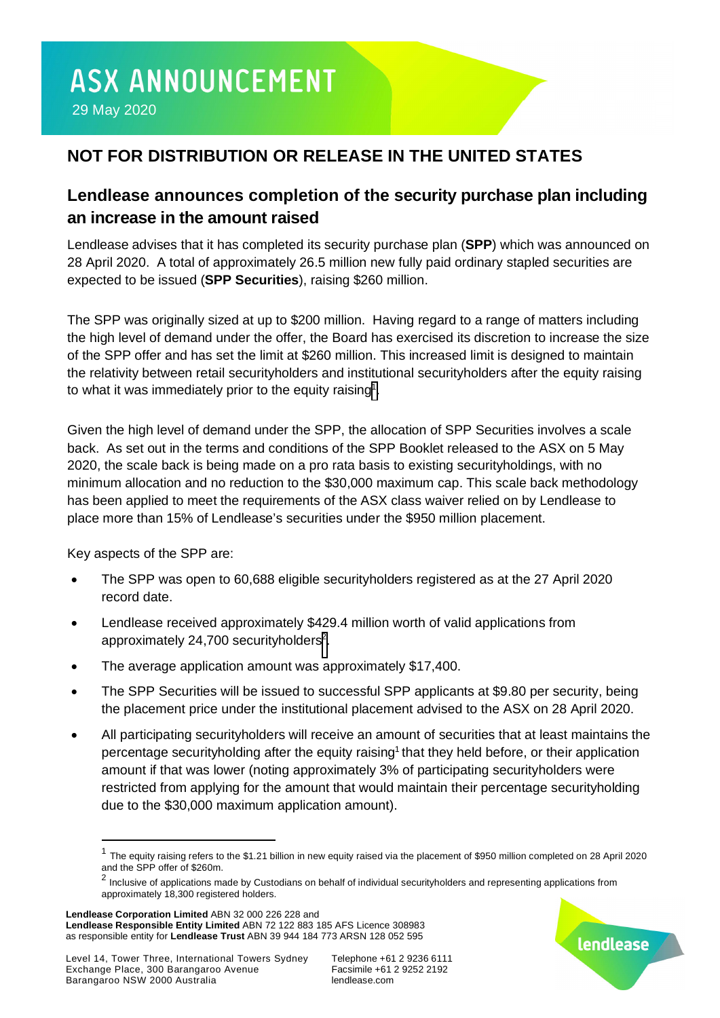# **NOT FOR DISTRIBUTION OR RELEASE IN THE UNITED STATES**

## **Lendlease announces completion of the security purchase plan including an increase in the amount raised**

Lendlease advises that it has completed its security purchase plan (**SPP**) which was announced on 28 April 2020. A total of approximately 26.5 million new fully paid ordinary stapled securities are expected to be issued (**SPP Securities**), raising \$260 million.

The SPP was originally sized at up to \$200 million. Having regard to a range of matters including the high level of demand under the offer, the Board has exercised its discretion to increase the size of the SPP offer and has set the limit at \$260 million. This increased limit is designed to maintain the relativity between retail securityholders and institutional securityholders after the equity raising to what it was immediately prior to the equity raising<sup>[1](#page-0-0)</sup>.

Given the high level of demand under the SPP, the allocation of SPP Securities involves a scale back. As set out in the terms and conditions of the SPP Booklet released to the ASX on 5 May 2020, the scale back is being made on a pro rata basis to existing securityholdings, with no minimum allocation and no reduction to the \$30,000 maximum cap. This scale back methodology has been applied to meet the requirements of the ASX class waiver relied on by Lendlease to place more than 15% of Lendlease's securities under the \$950 million placement.

Key aspects of the SPP are:

- · The SPP was open to 60,688 eligible securityholders registered as at the 27 April 2020 record date.
- · Lendlease received approximately \$429.4 million worth of valid applications from approximately [2](#page-0-1)4,700 securityholders<sup>2</sup>.
- The average application amount was approximately \$17,400.
- The SPP Securities will be issued to successful SPP applicants at \$9.80 per security, being the placement price under the institutional placement advised to the ASX on 28 April 2020.
- All participating securityholders will receive an amount of securities that at least maintains the percentage securityholding after the equity raising<sup>1</sup> that they held before, or their application amount if that was lower (noting approximately 3% of participating securityholders were restricted from applying for the amount that would maintain their percentage securityholding due to the \$30,000 maximum application amount).

**Lendlease Corporation Limited** ABN 32 000 226 228 and **Lendlease Responsible Entity Limited** ABN 72 122 883 185 AFS Licence 308983 as responsible entity for **Lendlease Trust** ABN 39 944 184 773 ARSN 128 052 595



<span id="page-0-0"></span><sup>&</sup>lt;sup>1</sup> The equity raising refers to the \$1.21 billion in new equity raised via the placement of \$950 million completed on 28 April 2020 and the SPP offer of \$260m.

<span id="page-0-1"></span><sup>&</sup>lt;sup>2</sup> Inclusive of applications made by Custodians on behalf of individual securityholders and representing applications from approximately 18,300 registered holders.